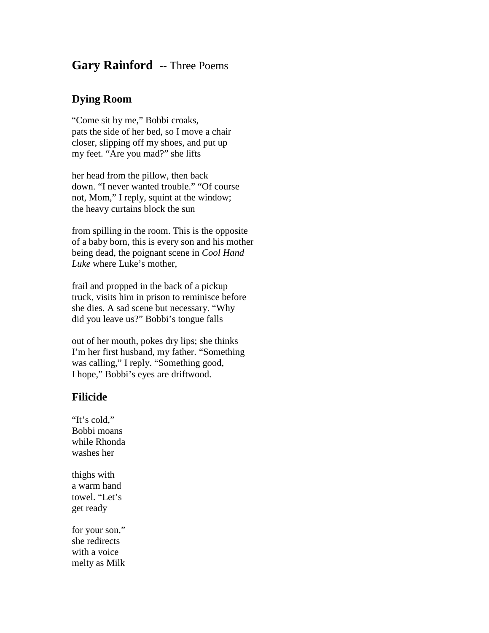## **Gary Rainford** -- Three Poems

## **Dying Room**

"Come sit by me," Bobbi croaks, pats the side of her bed, so I move a chair closer, slipping off my shoes, and put up my feet. "Are you mad?" she lifts

her head from the pillow, then back down. "I never wanted trouble." "Of course not, Mom," I reply, squint at the window; the heavy curtains block the sun

from spilling in the room. This is the opposite of a baby born, this is every son and his mother being dead, the poignant scene in *Cool Hand Luke* where Luke's mother,

frail and propped in the back of a pickup truck, visits him in prison to reminisce before she dies. A sad scene but necessary. "Why did you leave us?" Bobbi's tongue falls

out of her mouth, pokes dry lips; she thinks I'm her first husband, my father. "Something was calling," I reply. "Something good, I hope," Bobbi's eyes are driftwood.

## **Filicide**

"It's cold." Bobbi moans while Rhonda washes her

thighs with a warm hand towel. "Let's get ready

for your son," she redirects with a voice melty as Milk